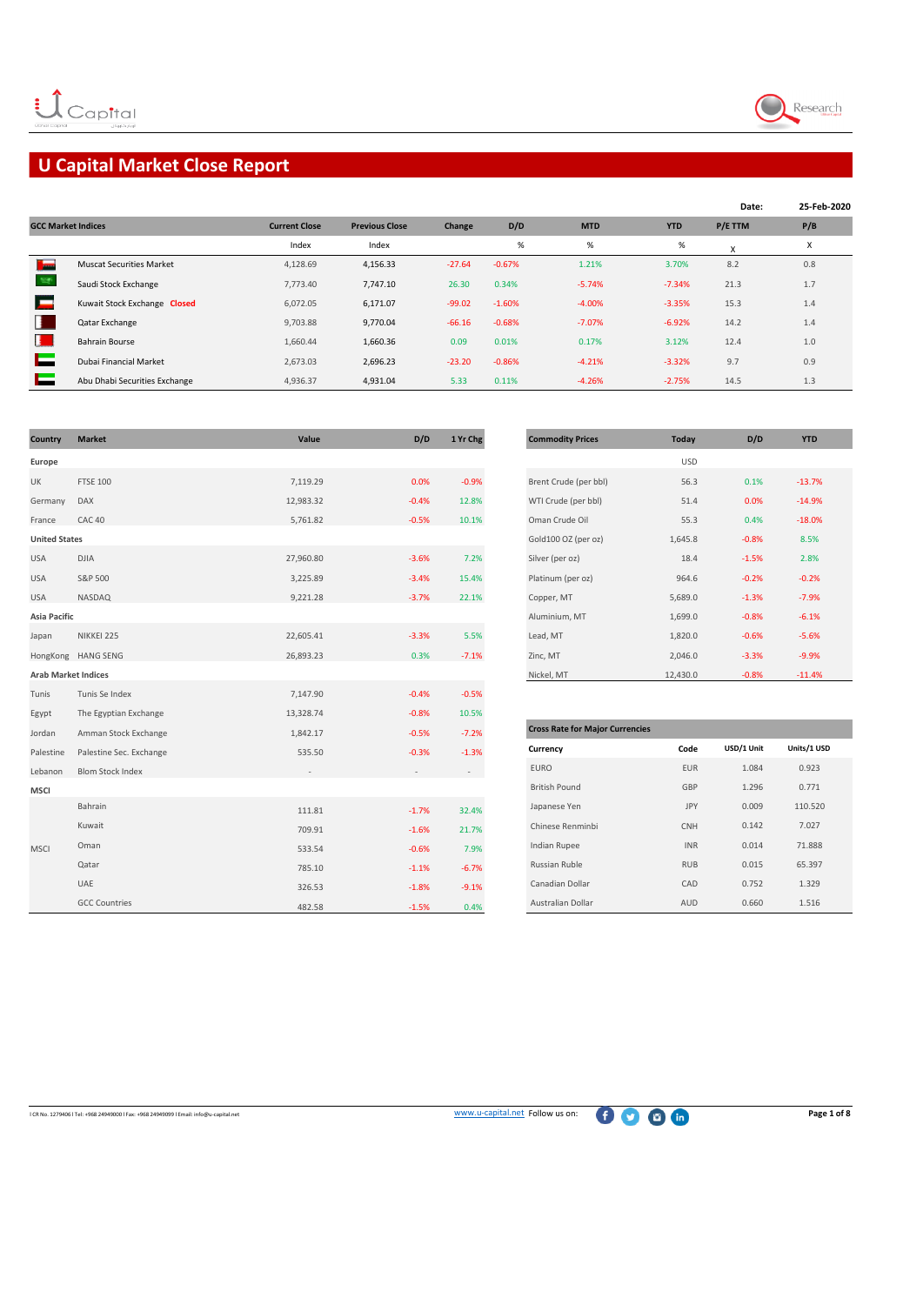

# **U Capital Market Close Report**

|                           |                                 |                      |                       |          |          |            |            | Date:   | 25-Feb-2020 |
|---------------------------|---------------------------------|----------------------|-----------------------|----------|----------|------------|------------|---------|-------------|
| <b>GCC Market Indices</b> |                                 | <b>Current Close</b> | <b>Previous Close</b> | Change   | D/D      | <b>MTD</b> | <b>YTD</b> | P/E TTM | P/B         |
|                           |                                 | Index                | Index                 |          | $\%$     | $\%$       | %          | x       | X           |
| السالة                    | <b>Muscat Securities Market</b> | 4,128.69             | 4,156.33              | $-27.64$ | $-0.67%$ | 1.21%      | 3.70%      | 8.2     | 0.8         |
|                           | Saudi Stock Exchange            | 7,773.40             | 7,747.10              | 26.30    | 0.34%    | $-5.74%$   | $-7.34%$   | 21.3    | 1.7         |
|                           | Kuwait Stock Exchange Closed    | 6,072.05             | 6,171.07              | $-99.02$ | $-1.60%$ | $-4.00%$   | $-3.35%$   | 15.3    | 1.4         |
|                           | Qatar Exchange                  | 9,703.88             | 9,770.04              | $-66.16$ | $-0.68%$ | $-7.07%$   | $-6.92%$   | 14.2    | 1.4         |
| н.                        | <b>Bahrain Bourse</b>           | 1,660.44             | 1,660.36              | 0.09     | 0.01%    | 0.17%      | 3.12%      | 12.4    | 1.0         |
|                           | Dubai Financial Market          | 2.673.03             | 2,696.23              | $-23.20$ | $-0.86%$ | $-4.21%$   | $-3.32%$   | 9.7     | 0.9         |
|                           | Abu Dhabi Securities Exchange   | 4,936.37             | 4,931.04              | 5.33     | 0.11%    | $-4.26%$   | $-2.75%$   | 14.5    | 1.3         |

| Country                    | <b>Market</b>           | Value     | D/D     | 1 Yr Chg | <b>Commodity Prices</b>                | Today      | D/D        | <b>YTD</b>  |
|----------------------------|-------------------------|-----------|---------|----------|----------------------------------------|------------|------------|-------------|
| Europe                     |                         |           |         |          |                                        | <b>USD</b> |            |             |
| UK                         | <b>FTSE 100</b>         | 7,119.29  | 0.0%    | $-0.9%$  | Brent Crude (per bbl)                  | 56.3       | 0.1%       | $-13.7%$    |
| Germany                    | <b>DAX</b>              | 12,983.32 | $-0.4%$ | 12.8%    | WTI Crude (per bbl)                    | 51.4       | 0.0%       | $-14.9%$    |
| France                     | CAC <sub>40</sub>       | 5,761.82  | $-0.5%$ | 10.1%    | Oman Crude Oil                         | 55.3       | 0.4%       | $-18.0%$    |
| <b>United States</b>       |                         |           |         |          | Gold100 OZ (per oz)                    | 1,645.8    | $-0.8%$    | 8.5%        |
| <b>USA</b>                 | <b>DJIA</b>             | 27,960.80 | $-3.6%$ | 7.2%     | Silver (per oz)                        | 18.4       | $-1.5%$    | 2.8%        |
| <b>USA</b>                 | S&P 500                 | 3,225.89  | $-3.4%$ | 15.4%    | Platinum (per oz)                      | 964.6      | $-0.2%$    | $-0.2%$     |
| <b>USA</b>                 | NASDAQ                  | 9,221.28  | $-3.7%$ | 22.1%    | Copper, MT                             | 5,689.0    | $-1.3%$    | $-7.9%$     |
| Asia Pacific               |                         |           |         |          | Aluminium, MT                          | 1,699.0    | $-0.8%$    | $-6.1%$     |
| Japan                      | NIKKEI 225              | 22,605.41 | $-3.3%$ | 5.5%     | Lead, MT                               | 1,820.0    | $-0.6%$    | $-5.6%$     |
|                            | HongKong HANG SENG      | 26,893.23 | 0.3%    | $-7.1%$  | Zinc, MT                               | 2,046.0    | $-3.3%$    | $-9.9%$     |
| <b>Arab Market Indices</b> |                         |           |         |          | Nickel, MT                             | 12,430.0   | $-0.8%$    | $-11.4%$    |
| Tunis                      | Tunis Se Index          | 7,147.90  | $-0.4%$ | $-0.5%$  |                                        |            |            |             |
| Egypt                      | The Egyptian Exchange   | 13,328.74 | $-0.8%$ | 10.5%    |                                        |            |            |             |
| Jordan                     | Amman Stock Exchange    | 1,842.17  | $-0.5%$ | $-7.2%$  | <b>Cross Rate for Major Currencies</b> |            |            |             |
| Palestine                  | Palestine Sec. Exchange | 535.50    | $-0.3%$ | $-1.3%$  | Currency                               | Code       | USD/1 Unit | Units/1 USD |
| Lebanon                    | <b>Blom Stock Index</b> |           |         |          | <b>EURO</b>                            | EUR        | 1.084      | 0.923       |
| <b>MSCI</b>                |                         |           |         |          | <b>British Pound</b>                   | GBP        | 1.296      | 0.771       |
|                            | Bahrain                 | 111.81    | $-1.7%$ | 32.4%    | Japanese Yen                           | JPY        | 0.009      | 110.520     |
|                            | Kuwait                  | 709.91    | $-1.6%$ | 21.7%    | Chinese Renminbi                       | CNH        | 0.142      | 7.027       |
| <b>MSCI</b>                | Oman                    | 533.54    | $-0.6%$ | 7.9%     | Indian Rupee                           | <b>INR</b> | 0.014      | 71.888      |
|                            | Qatar                   | 785.10    | $-1.1%$ | $-6.7%$  | Russian Ruble                          | <b>RUB</b> | 0.015      | 65.397      |
|                            | UAE                     | 326.53    | $-1.8%$ | $-9.1%$  | Canadian Dollar                        | CAD        | 0.752      | 1.329       |
|                            | <b>GCC Countries</b>    | 482.58    | $-1.5%$ | 0.4%     | Australian Dollar                      | AUD        | 0.660      | 1.516       |

| <b>Commodity Prices</b> | Today      | D/D     | <b>YTD</b> |
|-------------------------|------------|---------|------------|
|                         | <b>USD</b> |         |            |
| Brent Crude (per bbl)   | 56.3       | 0.1%    | $-13.7%$   |
| WTI Crude (per bbl)     | 51.4       | 0.0%    | $-14.9%$   |
| Oman Crude Oil          | 55.3       | 0.4%    | $-18.0%$   |
| Gold100 OZ (per oz)     | 1,645.8    | $-0.8%$ | 8.5%       |
| Silver (per oz)         | 18.4       | $-1.5%$ | 2.8%       |
| Platinum (per oz)       | 964.6      | $-0.2%$ | $-0.2%$    |
| Copper, MT              | 5,689.0    | $-1.3%$ | $-7.9%$    |
| Aluminium, MT           | 1,699.0    | $-0.8%$ | $-6.1%$    |
| Lead, MT                | 1,820.0    | $-0.6%$ | $-5.6%$    |
| Zinc, MT                | 2,046.0    | $-3.3%$ | $-9.9%$    |
| Nickel. MT              | 12.430.0   | $-0.8%$ | $-11.4%$   |

| <b>Cross Rate for Major Currencies</b> |            |            |             |  |  |  |  |  |
|----------------------------------------|------------|------------|-------------|--|--|--|--|--|
| Currency                               | Code       | USD/1 Unit | Units/1 USD |  |  |  |  |  |
| <b>EURO</b>                            | <b>EUR</b> | 1.084      | 0.923       |  |  |  |  |  |
| <b>British Pound</b>                   | GBP        | 1.296      | 0.771       |  |  |  |  |  |
| Japanese Yen                           | <b>JPY</b> | 0.009      | 110.520     |  |  |  |  |  |
| Chinese Renminbi                       | <b>CNH</b> | 0.142      | 7.027       |  |  |  |  |  |
| <b>Indian Rupee</b>                    | <b>INR</b> | 0.014      | 71.888      |  |  |  |  |  |
| Russian Ruble                          | <b>RUB</b> | 0.015      | 65.397      |  |  |  |  |  |
| Canadian Dollar                        | CAD        | 0.752      | 1.329       |  |  |  |  |  |
| <b>Australian Dollar</b>               | AUD        | 0.660      | 1.516       |  |  |  |  |  |

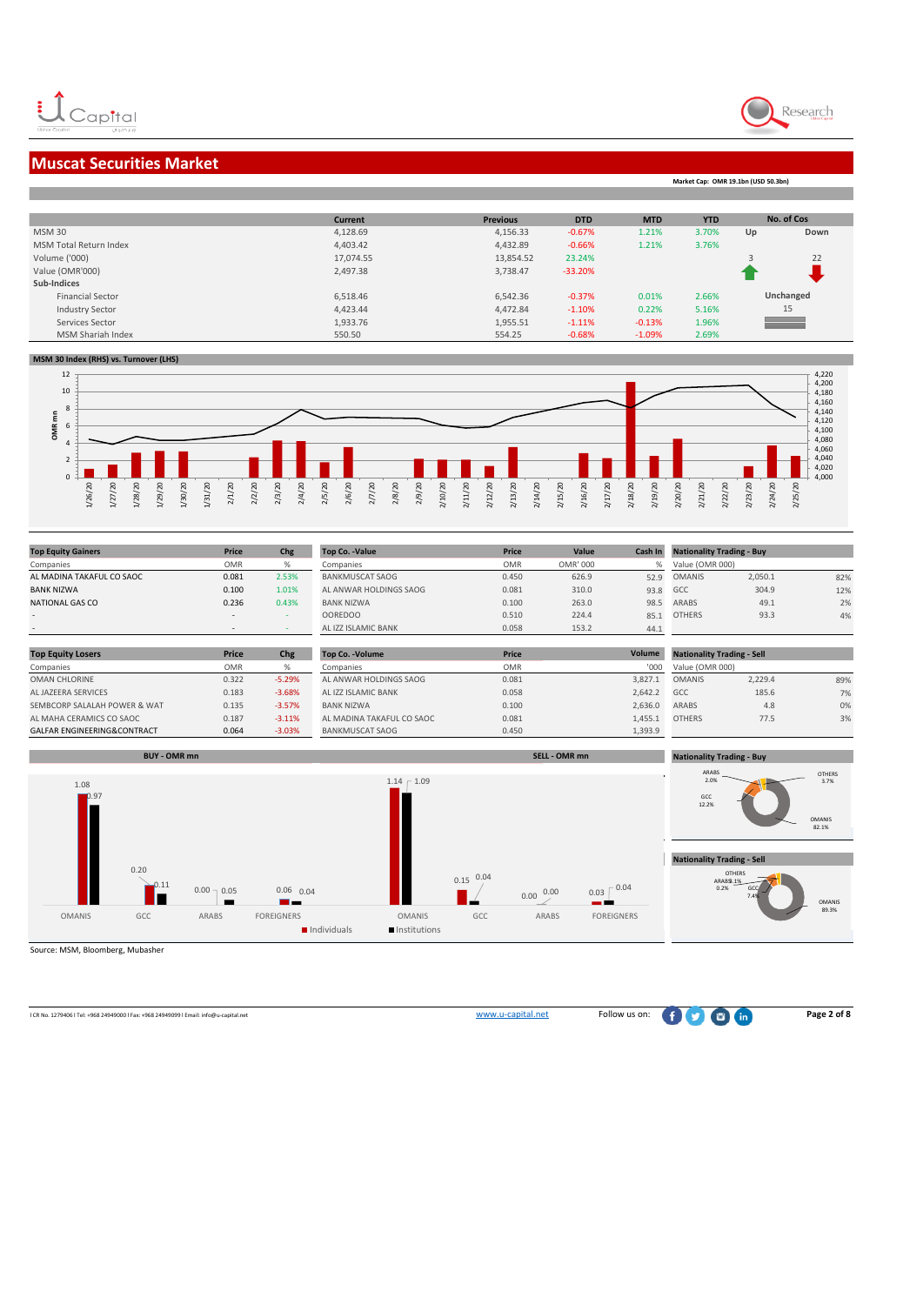

**Market Cap: OMR 19.1bn (USD 50.3bn)**

### **Muscat Securities Market**

|                               | <b>Current</b> | <b>Previous</b> | <b>DTD</b> | <b>MTD</b> | <b>YTD</b> |    | No. of Cos               |
|-------------------------------|----------------|-----------------|------------|------------|------------|----|--------------------------|
| <b>MSM30</b>                  | 4,128.69       | 4,156.33        | $-0.67%$   | 1.21%      | 3.70%      | Up | Down                     |
| <b>MSM Total Return Index</b> | 4,403.42       | 4,432.89        | $-0.66%$   | 1.21%      | 3.76%      |    |                          |
| Volume ('000)                 | 17,074.55      | 13,854.52       | 23.24%     |            |            |    | 22                       |
| Value (OMR'000)               | 2,497.38       | 3,738.47        | $-33.20%$  |            |            |    |                          |
| Sub-Indices                   |                |                 |            |            |            |    |                          |
| <b>Financial Sector</b>       | 6,518.46       | 6,542.36        | $-0.37%$   | 0.01%      | 2.66%      |    | Unchanged                |
| <b>Industry Sector</b>        | 4,423.44       | 4,472.84        | $-1.10%$   | 0.22%      | 5.16%      |    | 15                       |
| Services Sector               | 1,933.76       | 1,955.51        | $-1.11%$   | $-0.13%$   | 1.96%      |    | <b>Contract Contract</b> |
| MSM Shariah Index             | 550.50         | 554.25          | $-0.68%$   | $-1.09%$   | 2.69%      |    |                          |

#### **MSM 30 Index (RHS) vs. Turnover (LHS)**



| <b>Top Equity Gainers</b> | Price                    | Chg   | <b>Top Co. - Value</b> | Price      | Value    | Cash In | <b>Nationality Trading - Buy</b> |         |     |
|---------------------------|--------------------------|-------|------------------------|------------|----------|---------|----------------------------------|---------|-----|
| Companies                 | <b>OMR</b>               | %     | Companies              | <b>OMR</b> | OMR' 000 |         | Value (OMR 000)                  |         |     |
| AL MADINA TAKAFUL CO SAOC | 0.081                    | 2.53% | <b>BANKMUSCAT SAOG</b> | 0.450      | 626.9    | 52.9    | <b>OMANIS</b>                    | 2,050.1 | 82% |
| <b>BANK NIZWA</b>         | 0.100                    | 1.01% | AL ANWAR HOLDINGS SAOG | 0.081      | 310.0    | 93.8    | GCC                              | 304.9   | 12% |
| NATIONAL GAS CO           | 0.236                    | 0.43% | <b>BANK NIZWA</b>      | 0.100      | 263.0    | 98.5    | ARABS                            | 49.1    | 2%  |
|                           | $\overline{\phantom{a}}$ |       | <b>OOREDOO</b>         | 0.510      | 224.4    | 85.1    | <b>OTHERS</b>                    | 93.3    | 4%  |
| $\sim$                    | $\,$ $\,$                |       | AL IZZ ISLAMIC BANK    | 0.058      | 153.2    | 44.1    |                                  |         |     |

| <b>Top Equity Losers</b>     | <b>Price</b> | <b>Chg</b> | <b>Top Co. - Volume</b>   | Price      | Volume  | <b>Nationality Trading - Sell</b> |         |     |
|------------------------------|--------------|------------|---------------------------|------------|---------|-----------------------------------|---------|-----|
| Companies                    | OMR          |            | Companies                 | <b>OMR</b> | '000'   | Value (OMR 000)                   |         |     |
| OMAN CHLORINE                | 0.322        | $-5.29%$   | AL ANWAR HOLDINGS SAOG    | 0.081      | 3.827.1 | <b>OMANIS</b>                     | 2,229.4 | 89% |
| AL JAZEERA SERVICES          | 0.183        | $-3.68%$   | AL IZZ ISLAMIC BANK       | 0.058      | 2.642.2 | GCC                               | 185.6   | 7%  |
| SEMBCORP SALALAH POWER & WAT | 0.135        | $-3.57%$   | <b>BANK NIZWA</b>         | 0.100      | 2.636.0 | <b>ARABS</b>                      | 4.8     | 0%  |
| AL MAHA CERAMICS CO SAOC     | 0.187        | $-3.11%$   | AL MADINA TAKAFUL CO SAOC | 0.081      | 1.455.1 | <b>OTHERS</b>                     | 77.5    | 3%  |
| GALFAR ENGINEERING&CONTRACT  | 0.064        | $-3.03%$   | <b>BANKMUSCAT SAOG</b>    | 0.450      | 1,393.9 |                                   |         |     |



Source: MSM, Bloomberg, Mubasher

l CR No. 1279406 l Tel: +968 24949000 l Fax: +968 24949099 l Email: info@u-capital.net www.u-capital.net Follow us on: **Page 2 of 8**

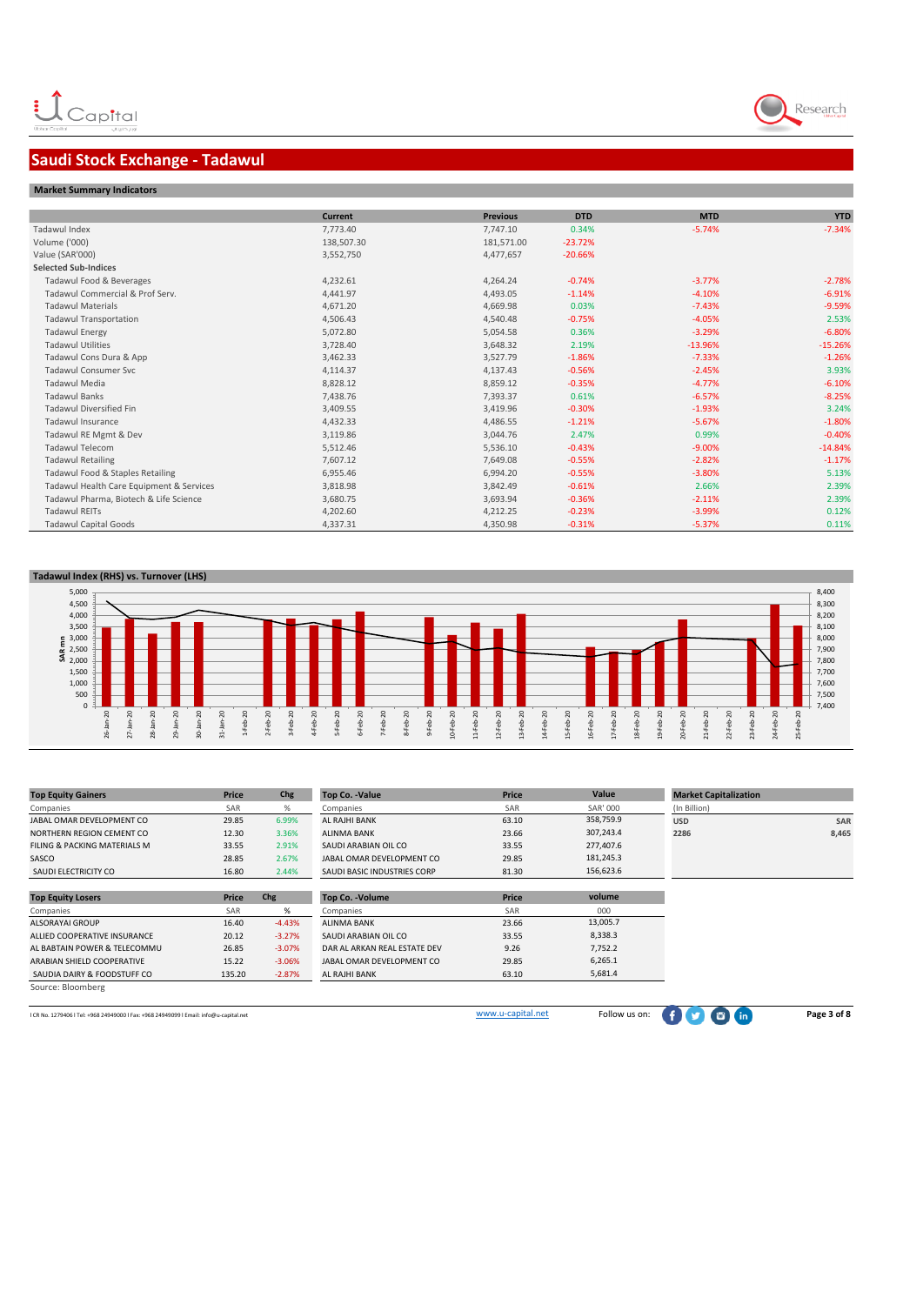### **Saudi Stock Exchange - Tadawul**



|                                          | <b>Current</b> | <b>Previous</b> | <b>DTD</b> | <b>MTD</b> | <b>YTD</b> |
|------------------------------------------|----------------|-----------------|------------|------------|------------|
| Tadawul Index                            | 7,773.40       | 7,747.10        | 0.34%      | $-5.74%$   | $-7.34%$   |
| Volume ('000)                            | 138,507.30     | 181,571.00      | $-23.72%$  |            |            |
| Value (SAR'000)                          | 3,552,750      | 4,477,657       | $-20.66%$  |            |            |
| <b>Selected Sub-Indices</b>              |                |                 |            |            |            |
| Tadawul Food & Beverages                 | 4,232.61       | 4,264.24        | $-0.74%$   | $-3.77%$   | $-2.78%$   |
| Tadawul Commercial & Prof Serv.          | 4,441.97       | 4,493.05        | $-1.14%$   | $-4.10%$   | $-6.91%$   |
| <b>Tadawul Materials</b>                 | 4,671.20       | 4,669.98        | 0.03%      | $-7.43%$   | $-9.59%$   |
| <b>Tadawul Transportation</b>            | 4,506.43       | 4,540.48        | $-0.75%$   | $-4.05%$   | 2.53%      |
| <b>Tadawul Energy</b>                    | 5,072.80       | 5,054.58        | 0.36%      | $-3.29%$   | $-6.80%$   |
| <b>Tadawul Utilities</b>                 | 3,728.40       | 3,648.32        | 2.19%      | $-13.96%$  | $-15.26%$  |
| Tadawul Cons Dura & App                  | 3,462.33       | 3,527.79        | $-1.86%$   | $-7.33%$   | $-1.26%$   |
| <b>Tadawul Consumer Svc</b>              | 4,114.37       | 4,137.43        | $-0.56%$   | $-2.45%$   | 3.93%      |
| <b>Tadawul Media</b>                     | 8,828.12       | 8,859.12        | $-0.35%$   | $-4.77%$   | $-6.10%$   |
| <b>Tadawul Banks</b>                     | 7,438.76       | 7,393.37        | 0.61%      | $-6.57%$   | $-8.25%$   |
| <b>Tadawul Diversified Fin</b>           | 3,409.55       | 3,419.96        | $-0.30%$   | $-1.93%$   | 3.24%      |
| Tadawul Insurance                        | 4,432.33       | 4,486.55        | $-1.21%$   | $-5.67%$   | $-1.80%$   |
| Tadawul RE Mgmt & Dev                    | 3,119.86       | 3,044.76        | 2.47%      | 0.99%      | $-0.40%$   |
| <b>Tadawul Telecom</b>                   | 5,512.46       | 5,536.10        | $-0.43%$   | $-9.00%$   | $-14.84%$  |
| <b>Tadawul Retailing</b>                 | 7,607.12       | 7,649.08        | $-0.55%$   | $-2.82%$   | $-1.17%$   |
| Tadawul Food & Staples Retailing         | 6,955.46       | 6,994.20        | $-0.55%$   | $-3.80%$   | 5.13%      |
| Tadawul Health Care Equipment & Services | 3,818.98       | 3,842.49        | $-0.61%$   | 2.66%      | 2.39%      |
| Tadawul Pharma, Biotech & Life Science   | 3,680.75       | 3,693.94        | $-0.36%$   | $-2.11%$   | 2.39%      |
| <b>Tadawul REITs</b>                     | 4,202.60       | 4,212.25        | $-0.23%$   | $-3.99%$   | 0.12%      |
| <b>Tadawul Capital Goods</b>             | 4,337.31       | 4,350.98        | $-0.31%$   | $-5.37%$   | 0.11%      |

#### **Tadawul Index (RHS) vs. Turnover (LHS)**



| <b>Top Equity Gainers</b>                                                              | Price  | Chg      | <b>Top Co. - Value</b>       | Price             | Value           | <b>Market Capitalization</b> |             |
|----------------------------------------------------------------------------------------|--------|----------|------------------------------|-------------------|-----------------|------------------------------|-------------|
| Companies                                                                              | SAR    | %        | Companies                    | SAR               | <b>SAR' 000</b> | (In Billion)                 |             |
| JABAL OMAR DEVELOPMENT CO                                                              | 29.85  | 6.99%    | AL RAJHI BANK                | 63.10             | 358,759.9       | <b>USD</b>                   | SAR         |
| NORTHERN REGION CEMENT CO                                                              | 12.30  | 3.36%    | <b>ALINMA BANK</b>           | 23.66             | 307,243.4       | 2286                         | 8,465       |
| FILING & PACKING MATERIALS M                                                           | 33.55  | 2.91%    | SAUDI ARABIAN OIL CO         | 33.55             | 277,407.6       |                              |             |
| SASCO                                                                                  | 28.85  | 2.67%    | JABAL OMAR DEVELOPMENT CO    | 29.85             | 181,245.3       |                              |             |
| SAUDI ELECTRICITY CO                                                                   | 16.80  | 2.44%    | SAUDI BASIC INDUSTRIES CORP  | 81.30             | 156,623.6       |                              |             |
|                                                                                        |        |          |                              |                   |                 |                              |             |
| <b>Top Equity Losers</b>                                                               | Price  | Chg      | Top Co. - Volume             | Price             | volume          |                              |             |
| Companies                                                                              | SAR    | %        | Companies                    | SAR               | 000             |                              |             |
| <b>ALSORAYAI GROUP</b>                                                                 | 16.40  | $-4.43%$ | <b>ALINMA BANK</b>           | 23.66             | 13,005.7        |                              |             |
| ALLIED COOPERATIVE INSURANCE                                                           | 20.12  | $-3.27%$ | SAUDI ARABIAN OIL CO         | 33.55             | 8,338.3         |                              |             |
| AL BABTAIN POWER & TELECOMMU                                                           | 26.85  | $-3.07%$ | DAR AL ARKAN REAL ESTATE DEV | 9.26              | 7,752.2         |                              |             |
| ARABIAN SHIELD COOPERATIVE                                                             | 15.22  | $-3.06%$ | JABAL OMAR DEVELOPMENT CO    | 29.85             | 6,265.1         |                              |             |
| SAUDIA DAIRY & FOODSTUFF CO                                                            | 135.20 | $-2.87%$ | AL RAJHI BANK                | 63.10             | 5,681.4         |                              |             |
| Source: Bloomberg                                                                      |        |          |                              |                   |                 |                              |             |
|                                                                                        |        |          |                              |                   |                 |                              |             |
| I CR No. 1279406   Tel: +968 24949000   Fax: +968 24949099   Email: info@u-capital.net |        |          |                              | www.u-capital.net | Follow us on:   |                              | Page 3 of 8 |

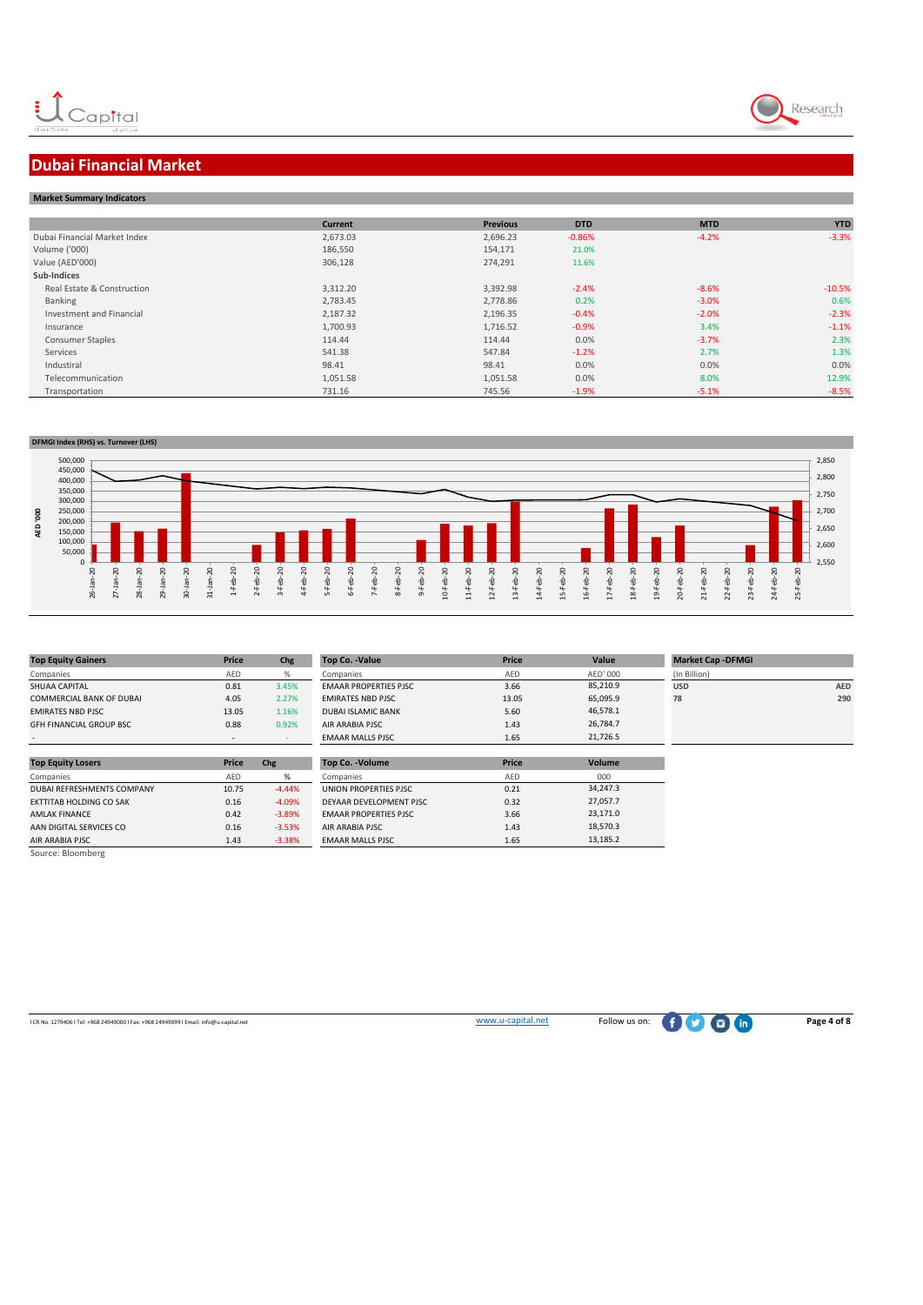

## **Dubai Financial Market**

| <b>Market Summary Indicators</b> |                |                 |            |            |            |  |  |  |  |
|----------------------------------|----------------|-----------------|------------|------------|------------|--|--|--|--|
|                                  | <b>Current</b> | <b>Previous</b> | <b>DTD</b> | <b>MTD</b> | <b>YTD</b> |  |  |  |  |
| Dubai Financial Market Index     | 2,673.03       | 2,696.23        | $-0.86%$   | $-4.2%$    | $-3.3%$    |  |  |  |  |
| Volume ('000)                    | 186,550        | 154,171         | 21.0%      |            |            |  |  |  |  |
| Value (AED'000)                  | 306,128        | 274,291         | 11.6%      |            |            |  |  |  |  |
| Sub-Indices                      |                |                 |            |            |            |  |  |  |  |
| Real Estate & Construction       | 3,312.20       | 3,392.98        | $-2.4%$    | $-8.6%$    | $-10.5%$   |  |  |  |  |
| Banking                          | 2,783.45       | 2,778.86        | 0.2%       | $-3.0%$    | 0.6%       |  |  |  |  |
| Investment and Financial         | 2,187.32       | 2,196.35        | $-0.4%$    | $-2.0%$    | $-2.3%$    |  |  |  |  |
| Insurance                        | 1,700.93       | 1,716.52        | $-0.9%$    | 3.4%       | $-1.1%$    |  |  |  |  |
| <b>Consumer Staples</b>          | 114.44         | 114.44          | 0.0%       | $-3.7%$    | 2.3%       |  |  |  |  |
| Services                         | 541.38         | 547.84          | $-1.2%$    | 2.7%       | 1.3%       |  |  |  |  |
| Industiral                       | 98.41          | 98.41           | 0.0%       | 0.0%       | 0.0%       |  |  |  |  |
| Telecommunication                | 1,051.58       | 1,051.58        | 0.0%       | 8.0%       | 12.9%      |  |  |  |  |
| Transportation                   | 731.16         | 745.56          | $-1.9%$    | $-5.1%$    | $-8.5%$    |  |  |  |  |



| <b>Top Equity Gainers</b>       | Price | Chg   | <b>Top Co. -Value</b>        | Price |
|---------------------------------|-------|-------|------------------------------|-------|
| Companies                       | AED   | %     | Companies                    | AFD   |
| <b>SHUAA CAPITAL</b>            | 0.81  | 3.45% | <b>EMAAR PROPERTIES PJSC</b> | 3.66  |
| <b>COMMERCIAL BANK OF DUBAI</b> | 4.05  | 2.27% | <b>EMIRATES NBD PJSC</b>     | 13.0  |
| <b>EMIRATES NBD PJSC</b>        | 13.05 | 1.16% | <b>DUBAI ISLAMIC BANK</b>    | 5.60  |
| <b>GFH FINANCIAL GROUP BSC</b>  | 0.88  | 0.92% | AIR ARABIA PISC              | 1.43  |
| ٠                               |       |       | <b>EMAAR MALLS PJSC</b>      | 1.65  |

| <b>Top Equity Losers</b>       | Price | Chg      | <b>Top Co. - Volume</b>      | Price |
|--------------------------------|-------|----------|------------------------------|-------|
| Companies                      | AED   | %        | Companies                    | AED   |
| DUBAI REFRESHMENTS COMPANY     | 10.75 | $-4.44%$ | UNION PROPERTIES PJSC        | 0.21  |
| <b>EKTTITAB HOLDING CO SAK</b> | 0.16  | $-4.09%$ | DEYAAR DEVELOPMENT PJSC      | 0.32  |
| <b>AMLAK FINANCE</b>           | 0.42  | $-3.89%$ | <b>EMAAR PROPERTIES PJSC</b> | 3.66  |
| AAN DIGITAL SERVICES CO        | 0.16  | $-3.53%$ | AIR ARABIA PJSC              | 1.43  |
| <b>AIR ARABIA PJSC</b>         | 1.43  | $-3.38%$ | <b>EMAAR MALLS PJSC</b>      | 1.65  |
| Source: Bloomberg              |       |          |                              |       |

| <b>Top Equity Gainers</b>      | Price                    | Chg   | Top Co. -Value               | Price | Value    | <b>Market Cap -DFMGI</b> |     |
|--------------------------------|--------------------------|-------|------------------------------|-------|----------|--------------------------|-----|
| Companies                      | AED                      |       | Companies                    | AED   | AED' 000 | (In Billion)             |     |
| SHUAA CAPITAL                  | 0.81                     | 3.45% | <b>EMAAR PROPERTIES PJSC</b> | 3.66  | 85,210.9 | <b>USD</b>               | AED |
| COMMERCIAL BANK OF DUBAI       | 4.05                     | 2.27% | <b>EMIRATES NBD PJSC</b>     | 13.05 | 65,095.9 | 78                       | 290 |
| <b>EMIRATES NBD PJSC</b>       | 13.05                    | 1.16% | <b>DUBAI ISLAMIC BANK</b>    | 5.60  | 46.578.1 |                          |     |
| <b>GFH FINANCIAL GROUP BSC</b> | 0.88                     | 0.92% | AIR ARABIA PJSC              | 1.43  | 26,784.7 |                          |     |
| ۰                              | $\overline{\phantom{a}}$ |       | <b>EMAAR MALLS PJSC</b>      | 1.65  | 21,726.5 |                          |     |

| Top Co. - Volume              | Price | Volume   |
|-------------------------------|-------|----------|
| Companies                     | AFD   | 000      |
| UNION PROPERTIES PJSC         | 0.21  | 34,247.3 |
| DEYAAR DEVELOPMENT PJSC       | 0.32  | 27.057.7 |
| <b>EMAAR PROPERTIES PISC.</b> | 3.66  | 23.171.0 |
| AIR ARABIA PJSC               | 1.43  | 18.570.3 |
| <b>EMAAR MALLS PJSC</b>       | 1.65  | 13,185.2 |

| <b>Market Cap -DFMGI</b> |            |
|--------------------------|------------|
| (In Billion)             |            |
| <b>USD</b>               | <b>AED</b> |
| 78                       | 290        |
|                          |            |
|                          |            |

l CR No. 1279406 l Tel: +968 24949000 l Fax: +968 24949099 l Email: info@u-capital.net www.u-capital.net Follow us on: **Page 4 of 8**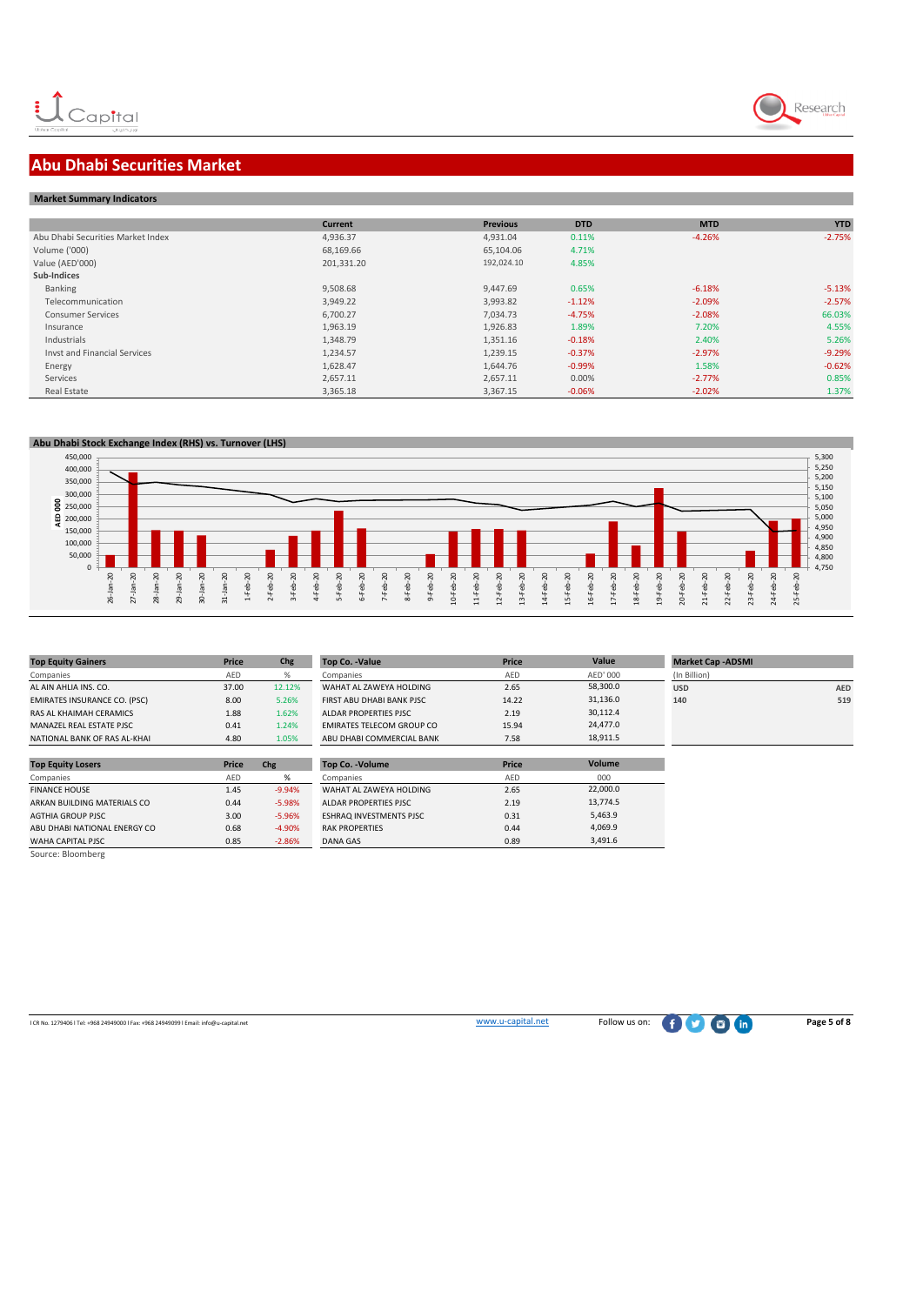

### **Abu Dhabi Securities Market**

|  | <b>Market Summary Indicators</b> |
|--|----------------------------------|

|                                   | <b>Current</b> | <b>Previous</b> | <b>DTD</b> | <b>MTD</b> | <b>YTD</b> |
|-----------------------------------|----------------|-----------------|------------|------------|------------|
| Abu Dhabi Securities Market Index | 4,936.37       | 4.931.04        | 0.11%      | $-4.26%$   | $-2.75%$   |
| Volume ('000)                     | 68,169.66      | 65,104.06       | 4.71%      |            |            |
| Value (AED'000)                   | 201,331.20     | 192,024.10      | 4.85%      |            |            |
| Sub-Indices                       |                |                 |            |            |            |
| Banking                           | 9,508.68       | 9,447.69        | 0.65%      | $-6.18%$   | $-5.13%$   |
| Telecommunication                 | 3.949.22       | 3.993.82        | $-1.12%$   | $-2.09%$   | $-2.57%$   |
| <b>Consumer Services</b>          | 6,700.27       | 7,034.73        | $-4.75%$   | $-2.08%$   | 66.03%     |
| Insurance                         | 1,963.19       | 1,926.83        | 1.89%      | 7.20%      | 4.55%      |
| Industrials                       | 1,348.79       | 1,351.16        | $-0.18%$   | 2.40%      | 5.26%      |
| Invst and Financial Services      | 1.234.57       | 1.239.15        | $-0.37%$   | $-2.97%$   | $-9.29%$   |
| Energy                            | 1,628.47       | 1,644.76        | $-0.99%$   | 1.58%      | $-0.62%$   |
| Services                          | 2,657.11       | 2,657.11        | 0.00%      | $-2.77%$   | 0.85%      |
| Real Estate                       | 3,365.18       | 3,367.15        | $-0.06%$   | $-2.02%$   | 1.37%      |





| <b>Top Equity Gainers</b>           | Price | Chg    | <b>Top Co. -Value</b>            | Price | Value    | <b>Market C</b> |
|-------------------------------------|-------|--------|----------------------------------|-------|----------|-----------------|
| Companies                           | AED   | %      | Companies                        | AED   | AED' 000 | (In Billion)    |
| AL AIN AHLIA INS. CO.               | 37.00 | 12.12% | WAHAT AL ZAWEYA HOLDING          | 2.65  | 58.300.0 | <b>USD</b>      |
| <b>EMIRATES INSURANCE CO. (PSC)</b> | 8.00  | 5.26%  | FIRST ABU DHABI BANK PISC.       | 14.22 | 31.136.0 | 140             |
| RAS AL KHAIMAH CERAMICS             | 1.88  | 1.62%  | ALDAR PROPERTIES PISC            | 2.19  | 30,112.4 |                 |
| MANAZEL REAL ESTATE PJSC            | 0.41  | L.24%  | <b>EMIRATES TELECOM GROUP CO</b> | 15.94 | 24,477.0 |                 |
| NATIONAL BANK OF RAS AL-KHAI        | 4.80  | L.05%  | ABU DHABI COMMERCIAL BANK        | 7.58  | 18,911.5 |                 |

| <b>EMIRATES INSURANCE CO. (PSC)</b> | 8.00  | 5.26%    | FIRST ABU DHABI BANK PJSC | 14.22        | 31,136.0      | 140 | 519 |
|-------------------------------------|-------|----------|---------------------------|--------------|---------------|-----|-----|
| RAS AL KHAIMAH CERAMICS             | 1.88  | 1.62%    | ALDAR PROPERTIES PJSC     | 2.19         | 30.112.4      |     |     |
| MANAZEL REAL ESTATE PJSC            | 0.41  | 1.24%    | EMIRATES TELECOM GROUP CO | 15.94        | 24,477.0      |     |     |
| NATIONAL BANK OF RAS AL-KHAI        | 4.80  | 1.05%    | ABU DHABI COMMERCIAL BANK | 7.58         | 18,911.5      |     |     |
|                                     |       |          |                           |              |               |     |     |
| <b>Top Equity Losers</b>            | Price | Chg      | <b>Top Co. - Volume</b>   | <b>Price</b> | <b>Volume</b> |     |     |
|                                     |       |          |                           |              |               |     |     |
| Companies                           | AED   | %        | Companies                 | AED          | 000           |     |     |
| <b>FINANCE HOUSE</b>                | 1.45  | $-9.94%$ | WAHAT AL ZAWEYA HOLDING   | 2.65         | 22,000.0      |     |     |

| <b>Market Cap - ADSMI</b> |            |
|---------------------------|------------|
| (In Billion)              |            |
| <b>USD</b>                | <b>AED</b> |
| 140                       | 519        |
|                           |            |
|                           |            |
|                           |            |

| ABU DHABI NATIONAL ENERGY CO | 0.68 | $-4.90%$ | <b>RAK PROPERTIES</b> | 0.44 |
|------------------------------|------|----------|-----------------------|------|
| WAHA CAPITAL PJSC            | 0.85 | $-2.86%$ | DANA GAS              | 0.89 |
| Source: Bloomberg            |      |          |                       |      |
|                              |      |          |                       |      |
|                              |      |          |                       |      |

AGTHIA GROUP PJSC 3.00 -5.96%

| Top Co. - Volume               | <b>Price</b> | Volume   |
|--------------------------------|--------------|----------|
| Companies                      | <b>AFD</b>   | 000      |
| WAHAT AL ZAWEYA HOLDING        | 2.65         | 22,000.0 |
| ALDAR PROPERTIES PJSC          | 2.19         | 13.774.5 |
| <b>ESHRAQ INVESTMENTS PJSC</b> | 0.31         | 5,463.9  |
| <b>RAK PROPERTIES</b>          | 0.44         | 4.069.9  |
| DANA GAS                       | 0.89         | 3.491.6  |
|                                |              |          |

l CR No. 1279406 l Tel: +968 24949000 l Fax: +968 24949099 l Email: info@u-capital.net www.u-capital.net Follow us on: **Page 5 of 8**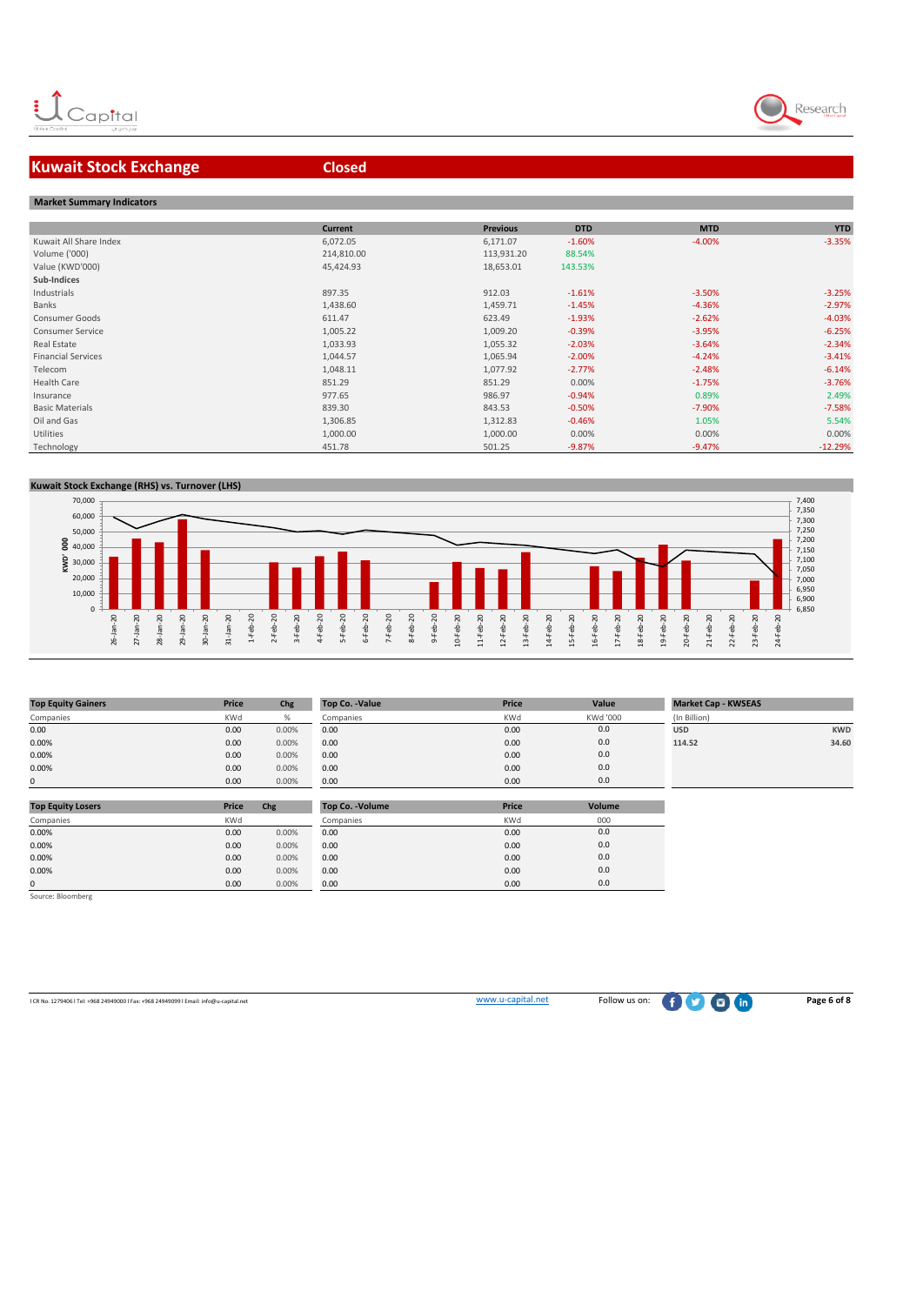

### **Kuwait Stock Exchange <b>Closed Closed**

# **Market Summary Indicators**

| <b>IVIAINEL SUITIITIAI VIITUICALUIS</b> |                |                 |            |            |            |
|-----------------------------------------|----------------|-----------------|------------|------------|------------|
|                                         |                |                 |            |            |            |
|                                         | <b>Current</b> | <b>Previous</b> | <b>DTD</b> | <b>MTD</b> | <b>YTD</b> |
| Kuwait All Share Index                  | 6,072.05       | 6,171.07        | $-1.60%$   | $-4.00%$   | $-3.35%$   |
| Volume ('000)                           | 214,810.00     | 113,931.20      | 88.54%     |            |            |
| Value (KWD'000)                         | 45,424.93      | 18,653.01       | 143.53%    |            |            |
| Sub-Indices                             |                |                 |            |            |            |
| Industrials                             | 897.35         | 912.03          | $-1.61%$   | $-3.50%$   | $-3.25%$   |
| Banks                                   | 1,438.60       | 1,459.71        | $-1.45%$   | $-4.36%$   | $-2.97%$   |
| Consumer Goods                          | 611.47         | 623.49          | $-1.93%$   | $-2.62%$   | $-4.03%$   |
| Consumer Service                        | 1,005.22       | 1,009.20        | $-0.39%$   | $-3.95%$   | $-6.25%$   |
| Real Estate                             | 1,033.93       | 1,055.32        | $-2.03%$   | $-3.64%$   | $-2.34%$   |
| <b>Financial Services</b>               | 1,044.57       | 1,065.94        | $-2.00%$   | $-4.24%$   | $-3.41%$   |
| Telecom                                 | 1,048.11       | 1,077.92        | $-2.77%$   | $-2.48%$   | $-6.14%$   |
| Health Care                             | 851.29         | 851.29          | 0.00%      | $-1.75%$   | $-3.76%$   |
| Insurance                               | 977.65         | 986.97          | $-0.94%$   | 0.89%      | 2.49%      |
| <b>Basic Materials</b>                  | 839.30         | 843.53          | $-0.50%$   | $-7.90%$   | $-7.58%$   |
| Oil and Gas                             | 1,306.85       | 1,312.83        | $-0.46%$   | 1.05%      | 5.54%      |
| Utilities                               | 1,000.00       | 1,000.00        | 0.00%      | 0.00%      | 0.00%      |
| Technology                              | 451.78         | 501.25          | $-9.87%$   | $-9.47%$   | $-12.29%$  |
|                                         |                |                 |            |            |            |

#### **Kuwait Stock Exchange (RHS) vs. Turnover (LHS)**



| <b>Top Equity Gainers</b> | Price      | Chg   | Top Co. -Value | Price      | Value    | <b>Market Cap - KWSEAS</b> |            |
|---------------------------|------------|-------|----------------|------------|----------|----------------------------|------------|
| Companies                 | <b>KWd</b> |       | Companies      | <b>KWd</b> | KWd '000 | (In Billion)               |            |
| 0.00                      | 0.00       | 0.00% | 0.00           | 0.00       | 0.0      | <b>USD</b>                 | <b>KWD</b> |
| 0.00%                     | 0.00       | 0.00% | 0.00           | 0.00       | 0.0      | 114.52                     | 34.60      |
| 0.00%                     | 0.00       | 0.00% | 0.00           | 0.00       | 0.0      |                            |            |
| 0.00%                     | 0.00       | 0.00% | 0.00           | 0.00       | 0.0      |                            |            |
| $\Omega$                  | 0.00       | 0.00% | 0.00           | 0.00       | 0.0      |                            |            |
|                           |            |       |                |            |          |                            |            |

| <b>Top Equity Losers</b> | Price      | Chg   | Top Co. - Volume | <b>Price</b> | Volume |
|--------------------------|------------|-------|------------------|--------------|--------|
| Companies                | <b>KWd</b> |       | Companies        | <b>KWd</b>   | 000    |
| 0.00%                    | 0.00       | 0.00% | 0.00             | 0.00         | 0.0    |
| 0.00%                    | 0.00       | 0.00% | 0.00             | 0.00         | 0.0    |
| 0.00%                    | 0.00       | 0.00% | 0.00             | 0.00         | 0.0    |
| 0.00%                    | 0.00       | 0.00% | 0.00             | 0.00         | 0.0    |
| $\Omega$                 | 0.00       | 0.00% | 0.00             | 0.00         | 0.0    |

Source: Bloomberg

l CR No. 1279406 l Tel: +968 24949000 l Fax: +968 24949099 l Email: info@u-capital.net www.u-capital.net Follow us on: **Page 6 of 8**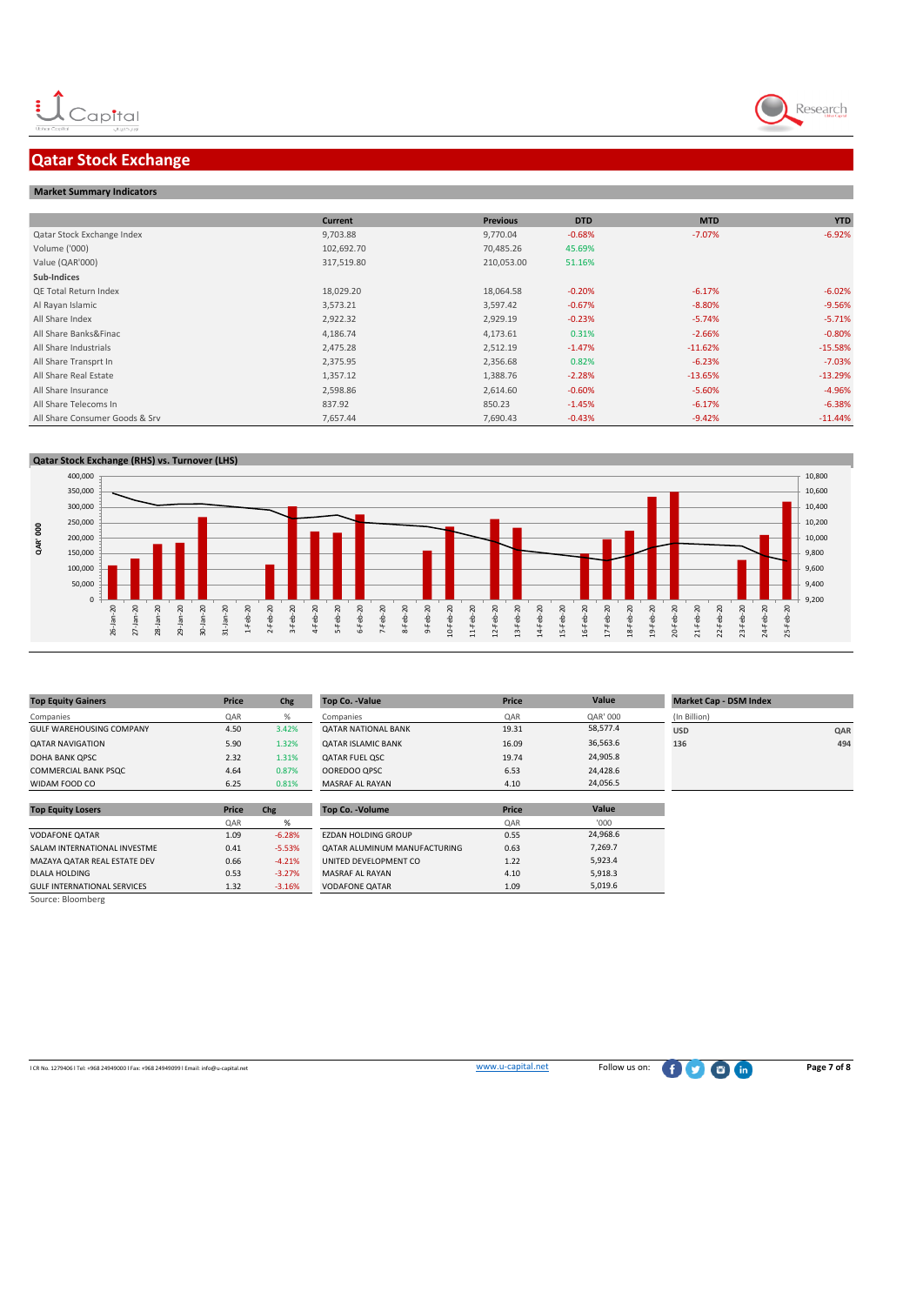### **Qatar Stock Exchange**

#### **Market Summary Indicators**

|                                | <b>Current</b> | <b>Previous</b> | <b>DTD</b> | <b>MTD</b> | <b>YTD</b> |
|--------------------------------|----------------|-----------------|------------|------------|------------|
| Qatar Stock Exchange Index     | 9,703.88       | 9,770.04        | $-0.68%$   | $-7.07%$   | $-6.92%$   |
| Volume ('000)                  | 102,692.70     | 70,485.26       | 45.69%     |            |            |
| Value (QAR'000)                | 317,519.80     | 210,053.00      | 51.16%     |            |            |
| Sub-Indices                    |                |                 |            |            |            |
| QE Total Return Index          | 18,029.20      | 18,064.58       | $-0.20%$   | $-6.17%$   | $-6.02%$   |
| Al Rayan Islamic               | 3,573.21       | 3,597.42        | $-0.67%$   | $-8.80%$   | $-9.56%$   |
| All Share Index                | 2,922.32       | 2,929.19        | $-0.23%$   | $-5.74%$   | $-5.71%$   |
| All Share Banks&Finac          | 4,186.74       | 4,173.61        | 0.31%      | $-2.66%$   | $-0.80%$   |
| All Share Industrials          | 2,475.28       | 2,512.19        | $-1.47%$   | $-11.62%$  | $-15.58%$  |
| All Share Transprt In          | 2,375.95       | 2,356.68        | 0.82%      | $-6.23%$   | $-7.03%$   |
| All Share Real Estate          | 1,357.12       | 1,388.76        | $-2.28%$   | $-13.65%$  | $-13.29%$  |
| All Share Insurance            | 2,598.86       | 2,614.60        | $-0.60%$   | $-5.60%$   | $-4.96%$   |
| All Share Telecoms In          | 837.92         | 850.23          | $-1.45%$   | $-6.17%$   | $-6.38%$   |
| All Share Consumer Goods & Srv | 7,657.44       | 7,690.43        | $-0.43%$   | $-9.42%$   | $-11.44%$  |



| <b>Top Equity Gainers</b>          | Price | Chg      | <b>Top Co. -Value</b>        | Price | Value    | <b>Market Cap - DSM Index</b> |     |
|------------------------------------|-------|----------|------------------------------|-------|----------|-------------------------------|-----|
| Companies                          | QAR   | %        | Companies                    | QAR   | QAR' 000 | (In Billion)                  |     |
| <b>GULF WAREHOUSING COMPANY</b>    | 4.50  | 3.42%    | <b>QATAR NATIONAL BANK</b>   | 19.31 | 58,577.4 | <b>USD</b>                    | QAR |
| <b>QATAR NAVIGATION</b>            | 5.90  | 1.32%    | <b>QATAR ISLAMIC BANK</b>    | 16.09 | 36,563.6 | 136                           | 494 |
| DOHA BANK OPSC                     | 2.32  | 1.31%    | <b>QATAR FUEL QSC</b>        | 19.74 | 24,905.8 |                               |     |
| <b>COMMERCIAL BANK PSQC</b>        | 4.64  | 0.87%    | OOREDOO QPSC                 | 6.53  | 24,428.6 |                               |     |
| WIDAM FOOD CO                      | 6.25  | 0.81%    | MASRAF AL RAYAN              | 4.10  | 24,056.5 |                               |     |
|                                    |       |          |                              |       |          |                               |     |
| <b>Top Equity Losers</b>           | Price | Chg      | Top Co. - Volume             | Price | Value    |                               |     |
|                                    | QAR   | %        |                              | QAR   | '000'    |                               |     |
| <b>VODAFONE QATAR</b>              | 1.09  | $-6.28%$ | <b>EZDAN HOLDING GROUP</b>   | 0.55  | 24,968.6 |                               |     |
| SALAM INTERNATIONAL INVESTME       | 0.41  | $-5.53%$ | QATAR ALUMINUM MANUFACTURING | 0.63  | 7,269.7  |                               |     |
| MAZAYA QATAR REAL ESTATE DEV       | 0.66  | $-4.21%$ | UNITED DEVELOPMENT CO        | 1.22  | 5,923.4  |                               |     |
| <b>DLALA HOLDING</b>               | 0.53  | $-3.27%$ | MASRAF AL RAYAN              | 4.10  | 5,918.3  |                               |     |
| <b>GULF INTERNATIONAL SERVICES</b> | 1.32  | $-3.16%$ | <b>VODAFONE QATAR</b>        | 1.09  | 5,019.6  |                               |     |
| Source: Bloomberg                  |       |          |                              |       |          |                               |     |

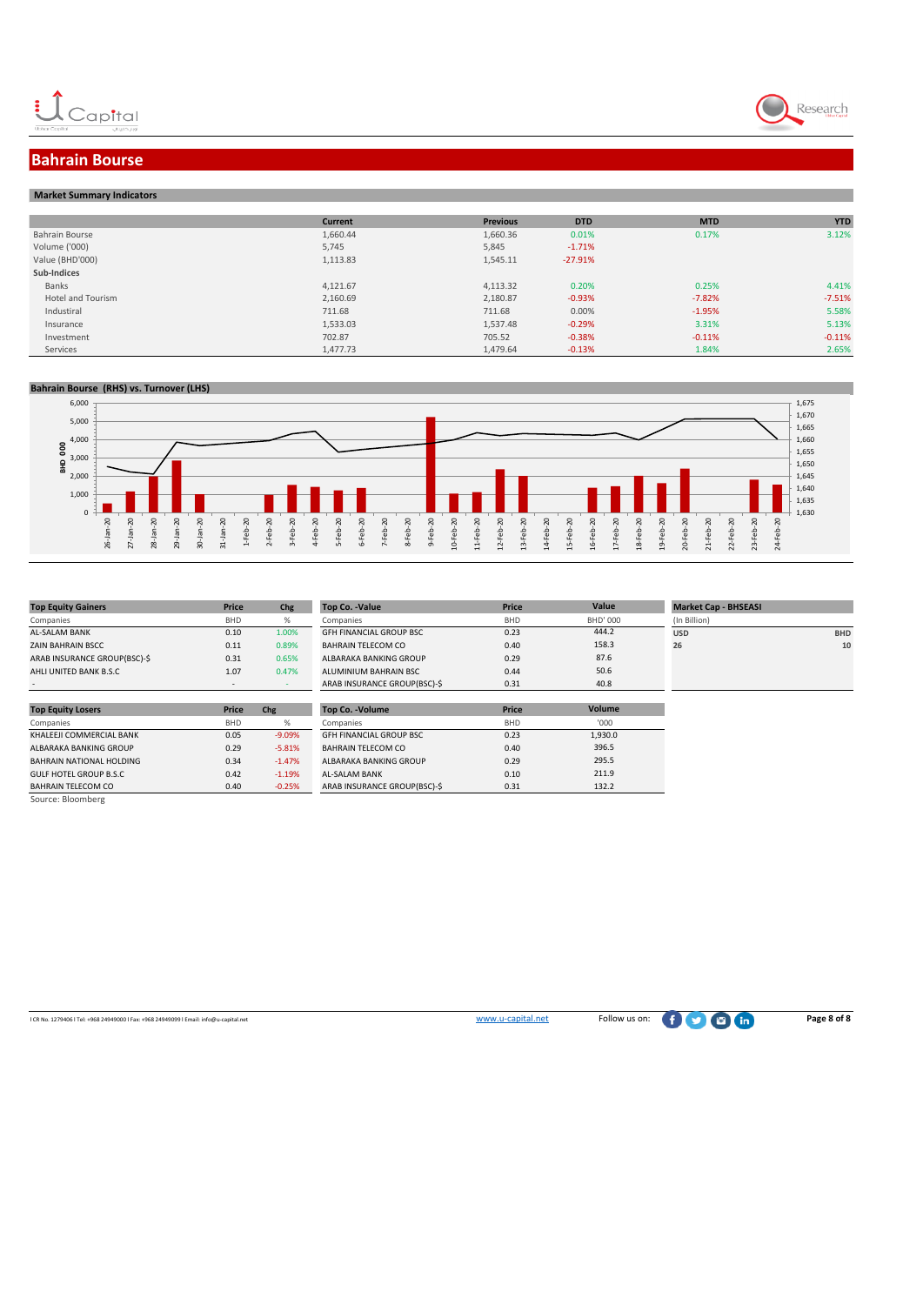



### **Bahrain Bourse**

|  | <b>Market Summary Indicators</b> |
|--|----------------------------------|

|                   | <b>Current</b> | <b>Previous</b> | <b>DTD</b> | <b>MTD</b> | <b>YTD</b> |
|-------------------|----------------|-----------------|------------|------------|------------|
| Bahrain Bourse    | 1,660.44       | 1,660.36        | 0.01%      | 0.17%      | 3.12%      |
| Volume ('000)     | 5,745          | 5,845           | $-1.71%$   |            |            |
| Value (BHD'000)   | 1,113.83       | 1,545.11        | $-27.91%$  |            |            |
| Sub-Indices       |                |                 |            |            |            |
| Banks             | 4,121.67       | 4,113.32        | 0.20%      | 0.25%      | 4.41%      |
| Hotel and Tourism | 2,160.69       | 2,180.87        | $-0.93%$   | $-7.82%$   | $-7.51%$   |
| Industiral        | 711.68         | 711.68          | 0.00%      | $-1.95%$   | 5.58%      |
| Insurance         | 1,533.03       | 1,537.48        | $-0.29%$   | 3.31%      | 5.13%      |
| Investment        | 702.87         | 705.52          | $-0.38%$   | $-0.11%$   | $-0.11%$   |
| Services          | 1,477.73       | 1,479.64        | $-0.13%$   | 1.84%      | 2.65%      |

#### **Bahrain Bourse (RHS) vs. Turnover (LHS)**



| <b>Top Equity Gainers</b>    | Price      | Chg   | Top Co. -Value                 | <b>Price</b> | Value    | <b>Market Cap - BHSEAS</b> |
|------------------------------|------------|-------|--------------------------------|--------------|----------|----------------------------|
| Companies                    | <b>BHD</b> | %     | Companies                      | <b>BHD</b>   | BHD' 000 | (In Billion)               |
| <b>AL-SALAM BANK</b>         | 0.10       | 1.00% | <b>GFH FINANCIAL GROUP BSC</b> | 0.23         | 444.2    | <b>USD</b>                 |
| <b>ZAIN BAHRAIN BSCC</b>     | 0.11       | 0.89% | <b>BAHRAIN TELECOM CO</b>      | 0.40         | 158.3    | 26                         |
| ARAB INSURANCE GROUP(BSC)-\$ | 0.31       | 0.65% | ALBARAKA BANKING GROUP         | 0.29         | 87.6     |                            |
| AHLI UNITED BANK B.S.C       | 1.07       | 0.47% | ALUMINIUM BAHRAIN BSC          | 0.44         | 50.6     |                            |
|                              |            |       | ARAR INSURANCE GROUP(BSC)-S    | 0.31         | 40.8     |                            |

|                              |            |       |                                |            |                 | _______      |            |
|------------------------------|------------|-------|--------------------------------|------------|-----------------|--------------|------------|
| Companies                    | <b>BHD</b> |       | Companies                      | <b>BHD</b> | <b>BHD' 000</b> | (In Billion) |            |
| AL-SALAM BANK                | 0.10       | 1.00% | <b>GFH FINANCIAL GROUP BSC</b> | 0.23       | 444.2           | <b>USD</b>   | <b>BHD</b> |
| ZAIN BAHRAIN BSCC            | 0.11       | 0.89% | BAHRAIN TELECOM CO             | 0.40       | 158.3           | 26           | 10         |
| ARAB INSURANCE GROUP(BSC)-\$ | 0.31       | 0.65% | ALBARAKA BANKING GROUP         | 0.29       | 87.6            |              |            |
| AHLI UNITED BANK B.S.C       | 1.07       | 0.47% | ALUMINIUM BAHRAIN BSC          | 0.44       | 50.6            |              |            |
|                              |            |       | ARAB INSURANCE GROUP(BSC)-S    | 0.31       | 40.8            |              |            |
|                              |            |       |                                |            |                 |              |            |

| <b>Top Equity Losers</b> | Price      | Chg      | <b>Top Co. - Volume</b>        | Price      | Volume  |
|--------------------------|------------|----------|--------------------------------|------------|---------|
| Companies                | <b>BHD</b> | %        | Companies                      | <b>BHD</b> | '000    |
| KHALEEJI COMMERCIAL BANK | 0.05       | $-9.09%$ | <b>GFH FINANCIAL GROUP BSC</b> | 0.23       | 1,930.0 |
| ALBARAKA BANKING GROUP   | 0.29       | $-5.81%$ | BAHRAIN TELECOM CO             | 0.40       | 396.5   |
| BAHRAIN NATIONAL HOLDING | 0.34       | $-1.47%$ | ALBARAKA BANKING GROUP         | 0.29       | 295.5   |
| GULF HOTEL GROUP B.S.C   | 0.42       | $-1.19%$ | <b>AL-SALAM BANK</b>           | 0.10       | 211.9   |
| BAHRAIN TELECOM CO       | 0.40       | $-0.25%$ | ARAB INSURANCE GROUP(BSC)-\$   | 0.31       | 132.2   |

GULF HOTEL GROUP B.S.C  $0.42$  -1.19% <br>BAHRAIN TELECOM CO  $0.40$  -0.25% BAHRAIN TELECOM CO Source: Bloomberg

l CR No. 1279406 l Tel: +968 24949000 l Fax: +968 24949099 l Email: info@u-capital.net www.u-capital.net Follow us on: **Page 8 of 8**